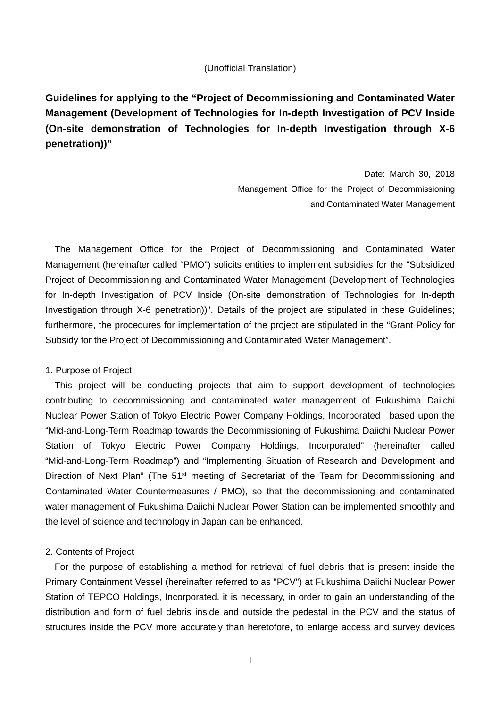#### (Unofficial Translation)

**Guidelines for applying to the "Project of Decommissioning and Contaminated Water Management (Development of Technologies for In-depth Investigation of PCV Inside (On-site demonstration of Technologies for In-depth Investigation through X-6 penetration))"** 

> Date: March 30, 2018 Management Office for the Project of Decommissioning and Contaminated Water Management

The Management Office for the Project of Decommissioning and Contaminated Water Management (hereinafter called "PMO") solicits entities to implement subsidies for the "Subsidized Project of Decommissioning and Contaminated Water Management (Development of Technologies for In-depth Investigation of PCV Inside (On-site demonstration of Technologies for In-depth Investigation through X-6 penetration))". Details of the project are stipulated in these Guidelines; furthermore, the procedures for implementation of the project are stipulated in the "Grant Policy for Subsidy for the Project of Decommissioning and Contaminated Water Management".

#### 1. Purpose of Project

This project will be conducting projects that aim to support development of technologies contributing to decommissioning and contaminated water management of Fukushima Daiichi Nuclear Power Station of Tokyo Electric Power Company Holdings, Incorporated based upon the "Mid-and-Long-Term Roadmap towards the Decommissioning of Fukushima Daiichi Nuclear Power Station of Tokyo Electric Power Company Holdings, Incorporated" (hereinafter called "Mid-and-Long-Term Roadmap") and "Implementing Situation of Research and Development and Direction of Next Plan" (The 51<sup>st</sup> meeting of Secretariat of the Team for Decommissioning and Contaminated Water Countermeasures / PMO), so that the decommissioning and contaminated water management of Fukushima Daiichi Nuclear Power Station can be implemented smoothly and the level of science and technology in Japan can be enhanced.

#### 2. Contents of Project

For the purpose of establishing a method for retrieval of fuel debris that is present inside the Primary Containment Vessel (hereinafter referred to as "PCV") at Fukushima Daiichi Nuclear Power Station of TEPCO Holdings, Incorporated. it is necessary, in order to gain an understanding of the distribution and form of fuel debris inside and outside the pedestal in the PCV and the status of structures inside the PCV more accurately than heretofore, to enlarge access and survey devices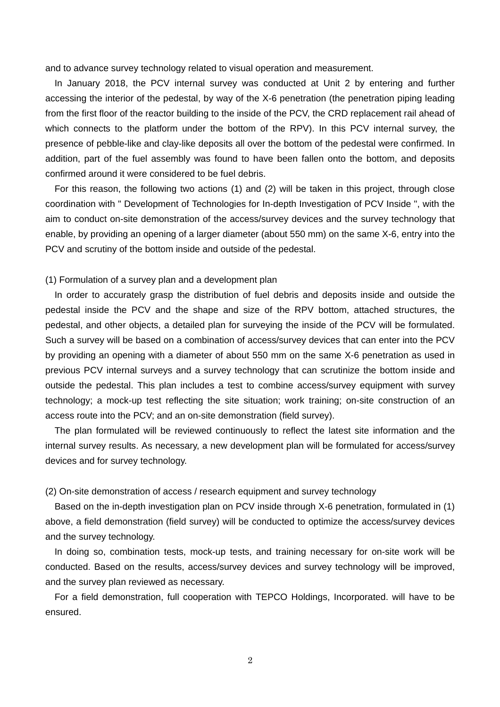and to advance survey technology related to visual operation and measurement.

In January 2018, the PCV internal survey was conducted at Unit 2 by entering and further accessing the interior of the pedestal, by way of the X-6 penetration (the penetration piping leading from the first floor of the reactor building to the inside of the PCV, the CRD replacement rail ahead of which connects to the platform under the bottom of the RPV). In this PCV internal survey, the presence of pebble-like and clay-like deposits all over the bottom of the pedestal were confirmed. In addition, part of the fuel assembly was found to have been fallen onto the bottom, and deposits confirmed around it were considered to be fuel debris.

For this reason, the following two actions (1) and (2) will be taken in this project, through close coordination with " Development of Technologies for In-depth Investigation of PCV Inside ", with the aim to conduct on-site demonstration of the access/survey devices and the survey technology that enable, by providing an opening of a larger diameter (about 550 mm) on the same X-6, entry into the PCV and scrutiny of the bottom inside and outside of the pedestal.

(1) Formulation of a survey plan and a development plan

In order to accurately grasp the distribution of fuel debris and deposits inside and outside the pedestal inside the PCV and the shape and size of the RPV bottom, attached structures, the pedestal, and other objects, a detailed plan for surveying the inside of the PCV will be formulated. Such a survey will be based on a combination of access/survey devices that can enter into the PCV by providing an opening with a diameter of about 550 mm on the same X-6 penetration as used in previous PCV internal surveys and a survey technology that can scrutinize the bottom inside and outside the pedestal. This plan includes a test to combine access/survey equipment with survey technology; a mock-up test reflecting the site situation; work training; on-site construction of an access route into the PCV; and an on-site demonstration (field survey).

The plan formulated will be reviewed continuously to reflect the latest site information and the internal survey results. As necessary, a new development plan will be formulated for access/survey devices and for survey technology.

(2) On-site demonstration of access / research equipment and survey technology

Based on the in-depth investigation plan on PCV inside through X-6 penetration, formulated in (1) above, a field demonstration (field survey) will be conducted to optimize the access/survey devices and the survey technology.

In doing so, combination tests, mock-up tests, and training necessary for on-site work will be conducted. Based on the results, access/survey devices and survey technology will be improved, and the survey plan reviewed as necessary.

For a field demonstration, full cooperation with TEPCO Holdings, Incorporated. will have to be ensured.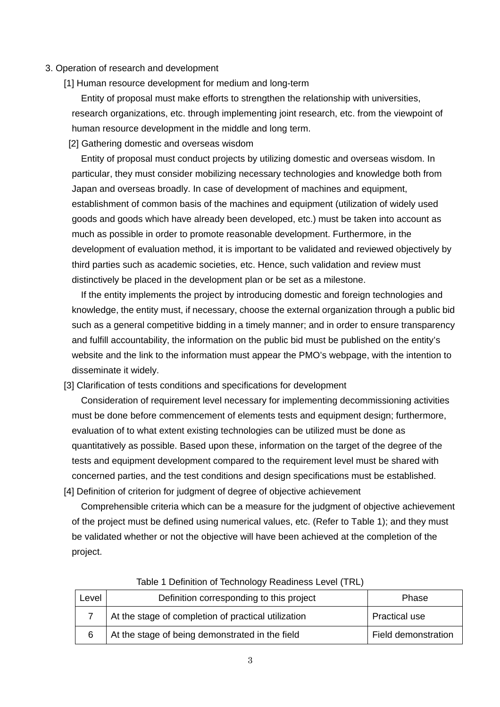#### 3. Operation of research and development

[1] Human resource development for medium and long-term

Entity of proposal must make efforts to strengthen the relationship with universities, research organizations, etc. through implementing joint research, etc. from the viewpoint of human resource development in the middle and long term.

[2] Gathering domestic and overseas wisdom

Entity of proposal must conduct projects by utilizing domestic and overseas wisdom. In particular, they must consider mobilizing necessary technologies and knowledge both from Japan and overseas broadly. In case of development of machines and equipment, establishment of common basis of the machines and equipment (utilization of widely used goods and goods which have already been developed, etc.) must be taken into account as much as possible in order to promote reasonable development. Furthermore, in the development of evaluation method, it is important to be validated and reviewed objectively by third parties such as academic societies, etc. Hence, such validation and review must distinctively be placed in the development plan or be set as a milestone.

If the entity implements the project by introducing domestic and foreign technologies and knowledge, the entity must, if necessary, choose the external organization through a public bid such as a general competitive bidding in a timely manner; and in order to ensure transparency and fulfill accountability, the information on the public bid must be published on the entity's website and the link to the information must appear the PMO's webpage, with the intention to disseminate it widely.

[3] Clarification of tests conditions and specifications for development

Consideration of requirement level necessary for implementing decommissioning activities must be done before commencement of elements tests and equipment design; furthermore, evaluation of to what extent existing technologies can be utilized must be done as quantitatively as possible. Based upon these, information on the target of the degree of the tests and equipment development compared to the requirement level must be shared with concerned parties, and the test conditions and design specifications must be established. [4] Definition of criterion for judgment of degree of objective achievement

Comprehensible criteria which can be a measure for the judgment of objective achievement of the project must be defined using numerical values, etc. (Refer to Table 1); and they must be validated whether or not the objective will have been achieved at the completion of the project.

| Level | Definition corresponding to this project            | Phase                |
|-------|-----------------------------------------------------|----------------------|
|       | At the stage of completion of practical utilization | <b>Practical use</b> |
| 6     | At the stage of being demonstrated in the field     | Field demonstration  |

#### Table 1 Definition of Technology Readiness Level (TRL)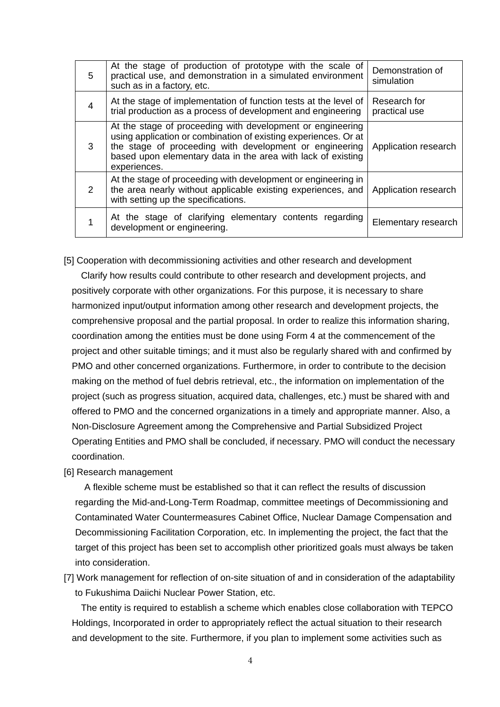| 5              | At the stage of production of prototype with the scale of<br>practical use, and demonstration in a simulated environment<br>such as in a factory, etc.                                                                                                                   | Demonstration of<br>simulation |
|----------------|--------------------------------------------------------------------------------------------------------------------------------------------------------------------------------------------------------------------------------------------------------------------------|--------------------------------|
| $\overline{4}$ | At the stage of implementation of function tests at the level of<br>trial production as a process of development and engineering                                                                                                                                         | Research for<br>practical use  |
| 3              | At the stage of proceeding with development or engineering<br>using application or combination of existing experiences. Or at<br>the stage of proceeding with development or engineering<br>based upon elementary data in the area with lack of existing<br>experiences. | Application research           |
| 2              | At the stage of proceeding with development or engineering in<br>the area nearly without applicable existing experiences, and<br>with setting up the specifications.                                                                                                     | Application research           |
|                | At the stage of clarifying elementary contents regarding<br>development or engineering.                                                                                                                                                                                  | Elementary research            |

[5] Cooperation with decommissioning activities and other research and development Clarify how results could contribute to other research and development projects, and positively corporate with other organizations. For this purpose, it is necessary to share harmonized input/output information among other research and development projects, the comprehensive proposal and the partial proposal. In order to realize this information sharing, coordination among the entities must be done using Form 4 at the commencement of the project and other suitable timings; and it must also be regularly shared with and confirmed by PMO and other concerned organizations. Furthermore, in order to contribute to the decision making on the method of fuel debris retrieval, etc., the information on implementation of the project (such as progress situation, acquired data, challenges, etc.) must be shared with and offered to PMO and the concerned organizations in a timely and appropriate manner. Also, a Non-Disclosure Agreement among the Comprehensive and Partial Subsidized Project Operating Entities and PMO shall be concluded, if necessary. PMO will conduct the necessary coordination.

[6] Research management

A flexible scheme must be established so that it can reflect the results of discussion regarding the Mid-and-Long-Term Roadmap, committee meetings of Decommissioning and Contaminated Water Countermeasures Cabinet Office, Nuclear Damage Compensation and Decommissioning Facilitation Corporation, etc. In implementing the project, the fact that the target of this project has been set to accomplish other prioritized goals must always be taken into consideration.

[7] Work management for reflection of on-site situation of and in consideration of the adaptability to Fukushima Daiichi Nuclear Power Station, etc.

The entity is required to establish a scheme which enables close collaboration with TEPCO Holdings, Incorporated in order to appropriately reflect the actual situation to their research and development to the site. Furthermore, if you plan to implement some activities such as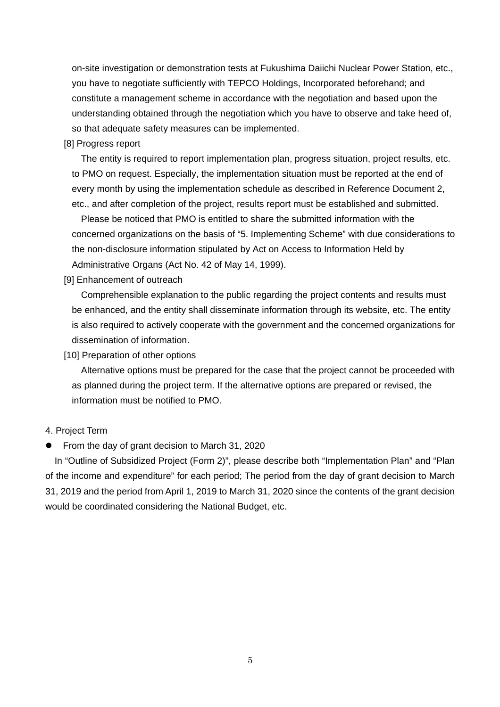on-site investigation or demonstration tests at Fukushima Daiichi Nuclear Power Station, etc., you have to negotiate sufficiently with TEPCO Holdings, Incorporated beforehand; and constitute a management scheme in accordance with the negotiation and based upon the understanding obtained through the negotiation which you have to observe and take heed of, so that adequate safety measures can be implemented.

[8] Progress report

The entity is required to report implementation plan, progress situation, project results, etc. to PMO on request. Especially, the implementation situation must be reported at the end of every month by using the implementation schedule as described in Reference Document 2, etc., and after completion of the project, results report must be established and submitted.

Please be noticed that PMO is entitled to share the submitted information with the concerned organizations on the basis of "5. Implementing Scheme" with due considerations to the non-disclosure information stipulated by Act on Access to Information Held by Administrative Organs (Act No. 42 of May 14, 1999).

[9] Enhancement of outreach

Comprehensible explanation to the public regarding the project contents and results must be enhanced, and the entity shall disseminate information through its website, etc. The entity is also required to actively cooperate with the government and the concerned organizations for dissemination of information.

[10] Preparation of other options

Alternative options must be prepared for the case that the project cannot be proceeded with as planned during the project term. If the alternative options are prepared or revised, the information must be notified to PMO.

- 4. Project Term
- From the day of grant decision to March 31, 2020

In "Outline of Subsidized Project (Form 2)", please describe both "Implementation Plan" and "Plan of the income and expenditure" for each period; The period from the day of grant decision to March 31, 2019 and the period from April 1, 2019 to March 31, 2020 since the contents of the grant decision would be coordinated considering the National Budget, etc.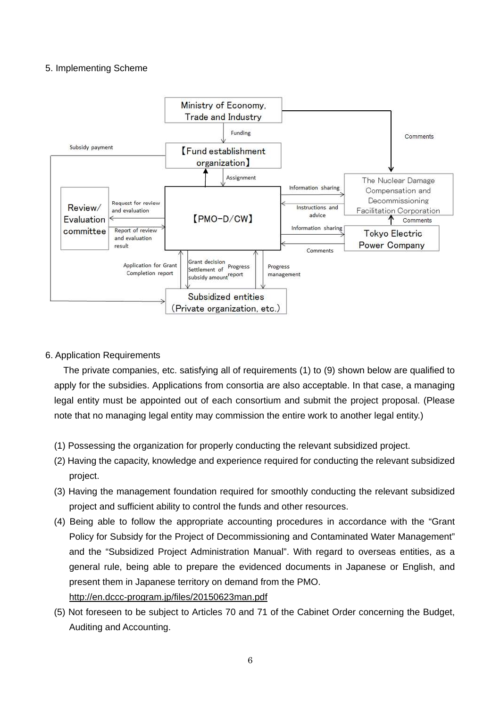### 5. Implementing Scheme



### 6. Application Requirements

The private companies, etc. satisfying all of requirements (1) to (9) shown below are qualified to apply for the subsidies. Applications from consortia are also acceptable. In that case, a managing legal entity must be appointed out of each consortium and submit the project proposal. (Please note that no managing legal entity may commission the entire work to another legal entity.)

- (1) Possessing the organization for properly conducting the relevant subsidized project.
- (2) Having the capacity, knowledge and experience required for conducting the relevant subsidized project.
- (3) Having the management foundation required for smoothly conducting the relevant subsidized project and sufficient ability to control the funds and other resources.
- (4) Being able to follow the appropriate accounting procedures in accordance with the "Grant Policy for Subsidy for the Project of Decommissioning and Contaminated Water Management" and the "Subsidized Project Administration Manual". With regard to overseas entities, as a general rule, being able to prepare the evidenced documents in Japanese or English, and present them in Japanese territory on demand from the PMO. http://en.dccc-program.jp/files/20150623man.pdf
- (5) Not foreseen to be subject to Articles 70 and 71 of the Cabinet Order concerning the Budget, Auditing and Accounting.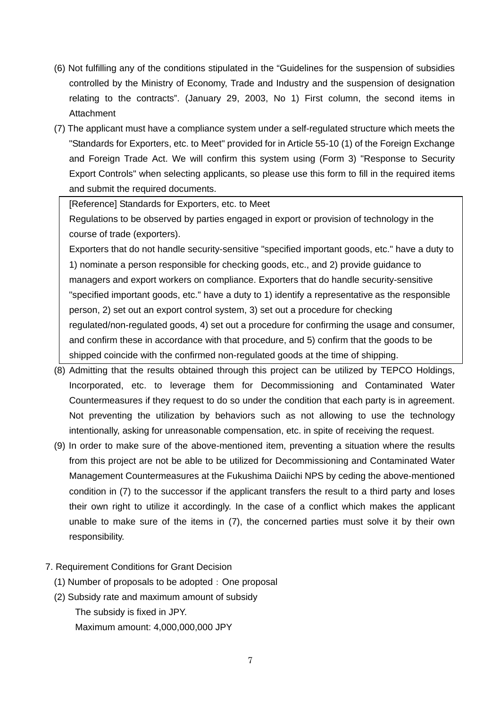- (6) Not fulfilling any of the conditions stipulated in the "Guidelines for the suspension of subsidies controlled by the Ministry of Economy, Trade and Industry and the suspension of designation relating to the contracts". (January 29, 2003, No 1) First column, the second items in Attachment
- (7) The applicant must have a compliance system under a self-regulated structure which meets the "Standards for Exporters, etc. to Meet" provided for in Article 55-10 (1) of the Foreign Exchange and Foreign Trade Act. We will confirm this system using (Form 3) "Response to Security Export Controls" when selecting applicants, so please use this form to fill in the required items and submit the required documents.

[Reference] Standards for Exporters, etc. to Meet

Regulations to be observed by parties engaged in export or provision of technology in the course of trade (exporters).

Exporters that do not handle security-sensitive "specified important goods, etc." have a duty to 1) nominate a person responsible for checking goods, etc., and 2) provide guidance to managers and export workers on compliance. Exporters that do handle security-sensitive "specified important goods, etc." have a duty to 1) identify a representative as the responsible person, 2) set out an export control system, 3) set out a procedure for checking regulated/non-regulated goods, 4) set out a procedure for confirming the usage and consumer, and confirm these in accordance with that procedure, and 5) confirm that the goods to be shipped coincide with the confirmed non-regulated goods at the time of shipping.

- (8) Admitting that the results obtained through this project can be utilized by TEPCO Holdings, Incorporated, etc. to leverage them for Decommissioning and Contaminated Water Countermeasures if they request to do so under the condition that each party is in agreement. Not preventing the utilization by behaviors such as not allowing to use the technology intentionally, asking for unreasonable compensation, etc. in spite of receiving the request.
- (9) In order to make sure of the above-mentioned item, preventing a situation where the results from this project are not be able to be utilized for Decommissioning and Contaminated Water Management Countermeasures at the Fukushima Daiichi NPS by ceding the above-mentioned condition in (7) to the successor if the applicant transfers the result to a third party and loses their own right to utilize it accordingly. In the case of a conflict which makes the applicant unable to make sure of the items in (7), the concerned parties must solve it by their own responsibility.
- 7. Requirement Conditions for Grant Decision
	- (1) Number of proposals to be adopted: One proposal
	- (2) Subsidy rate and maximum amount of subsidy The subsidy is fixed in JPY. Maximum amount: 4,000,000,000 JPY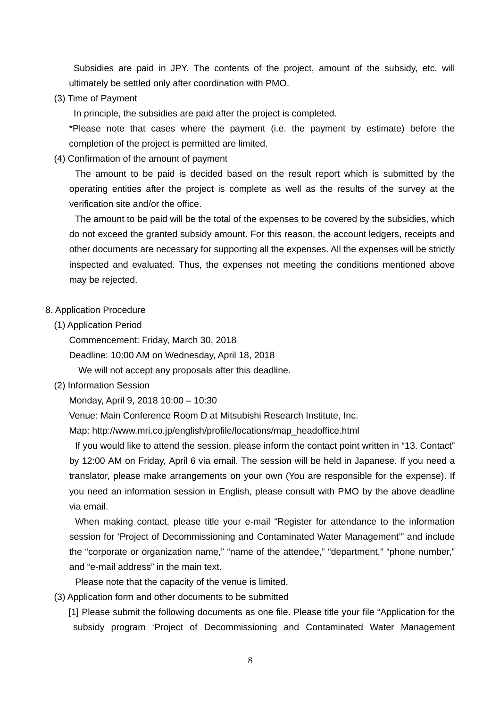Subsidies are paid in JPY. The contents of the project, amount of the subsidy, etc. will ultimately be settled only after coordination with PMO.

(3) Time of Payment

In principle, the subsidies are paid after the project is completed.

\*Please note that cases where the payment (i.e. the payment by estimate) before the completion of the project is permitted are limited.

(4) Confirmation of the amount of payment

The amount to be paid is decided based on the result report which is submitted by the operating entities after the project is complete as well as the results of the survey at the verification site and/or the office.

The amount to be paid will be the total of the expenses to be covered by the subsidies, which do not exceed the granted subsidy amount. For this reason, the account ledgers, receipts and other documents are necessary for supporting all the expenses. All the expenses will be strictly inspected and evaluated. Thus, the expenses not meeting the conditions mentioned above may be rejected.

#### 8. Application Procedure

(1) Application Period

Commencement: Friday, March 30, 2018

Deadline: 10:00 AM on Wednesday, April 18, 2018

We will not accept any proposals after this deadline.

(2) Information Session

Monday, April 9, 2018 10:00 – 10:30

Venue: Main Conference Room D at Mitsubishi Research Institute, Inc.

Map: http://www.mri.co.jp/english/profile/locations/map\_headoffice.html

If you would like to attend the session, please inform the contact point written in "13. Contact" by 12:00 AM on Friday, April 6 via email. The session will be held in Japanese. If you need a translator, please make arrangements on your own (You are responsible for the expense). If you need an information session in English, please consult with PMO by the above deadline via email.

When making contact, please title your e-mail "Register for attendance to the information session for 'Project of Decommissioning and Contaminated Water Management'" and include the "corporate or organization name," "name of the attendee," "department," "phone number," and "e-mail address" in the main text.

Please note that the capacity of the venue is limited.

(3) Application form and other documents to be submitted

 [1] Please submit the following documents as one file. Please title your file "Application for the subsidy program 'Project of Decommissioning and Contaminated Water Management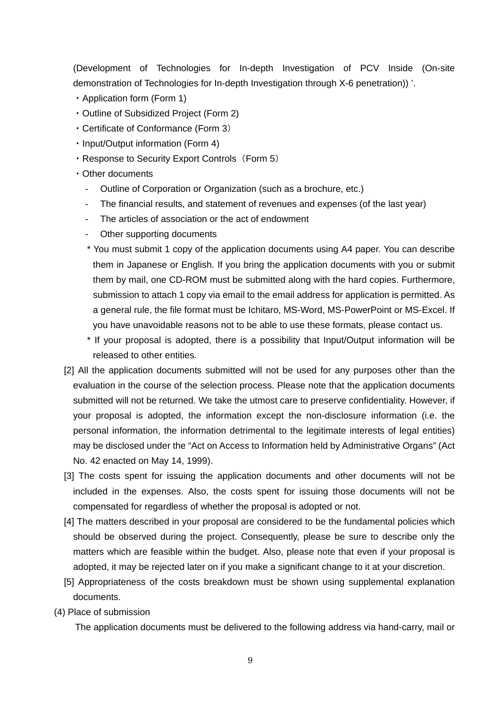(Development of Technologies for In-depth Investigation of PCV Inside (On-site demonstration of Technologies for In-depth Investigation through X-6 penetration)) '.

- ・Application form (Form 1)
- ・Outline of Subsidized Project (Form 2)
- ・Certificate of Conformance (Form 3)
- ・Input/Output information (Form 4)
- Response to Security Export Controls (Form 5)
- ・Other documents
	- Outline of Corporation or Organization (such as a brochure, etc.)
	- The financial results, and statement of revenues and expenses (of the last year)
	- The articles of association or the act of endowment
	- Other supporting documents
	- \* You must submit 1 copy of the application documents using A4 paper. You can describe them in Japanese or English. If you bring the application documents with you or submit them by mail, one CD-ROM must be submitted along with the hard copies. Furthermore, submission to attach 1 copy via email to the email address for application is permitted. As a general rule, the file format must be Ichitaro, MS-Word, MS-PowerPoint or MS-Excel. If you have unavoidable reasons not to be able to use these formats, please contact us.
	- \* If your proposal is adopted, there is a possibility that Input/Output information will be released to other entities.
- [2] All the application documents submitted will not be used for any purposes other than the evaluation in the course of the selection process. Please note that the application documents submitted will not be returned. We take the utmost care to preserve confidentiality. However, if your proposal is adopted, the information except the non-disclosure information (i.e. the personal information, the information detrimental to the legitimate interests of legal entities) may be disclosed under the "Act on Access to Information held by Administrative Organs" (Act No. 42 enacted on May 14, 1999).
- [3] The costs spent for issuing the application documents and other documents will not be included in the expenses. Also, the costs spent for issuing those documents will not be compensated for regardless of whether the proposal is adopted or not.
- [4] The matters described in your proposal are considered to be the fundamental policies which should be observed during the project. Consequently, please be sure to describe only the matters which are feasible within the budget. Also, please note that even if your proposal is adopted, it may be rejected later on if you make a significant change to it at your discretion.
- [5] Appropriateness of the costs breakdown must be shown using supplemental explanation documents.
- (4) Place of submission

The application documents must be delivered to the following address via hand-carry, mail or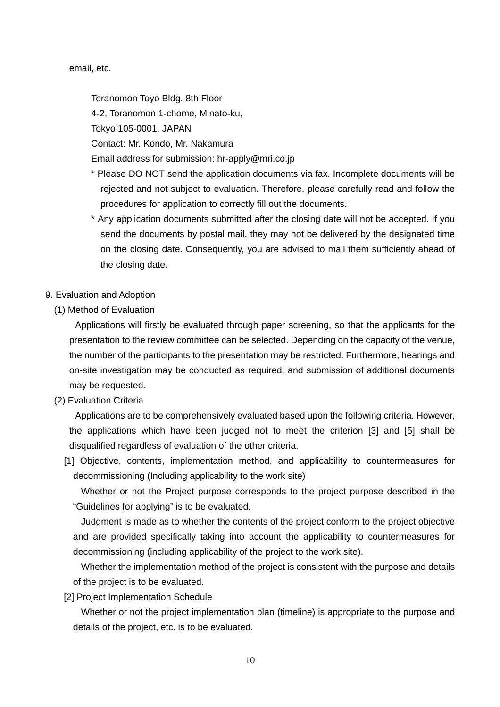email, etc.

Toranomon Toyo Bldg. 8th Floor

4-2, Toranomon 1-chome, Minato-ku,

Tokyo 105-0001, JAPAN

Contact: Mr. Kondo, Mr. Nakamura

Email address for submission: hr-apply@mri.co.jp

- \* Please DO NOT send the application documents via fax. Incomplete documents will be rejected and not subject to evaluation. Therefore, please carefully read and follow the procedures for application to correctly fill out the documents.
- \* Any application documents submitted after the closing date will not be accepted. If you send the documents by postal mail, they may not be delivered by the designated time on the closing date. Consequently, you are advised to mail them sufficiently ahead of the closing date.
- 9. Evaluation and Adoption
	- (1) Method of Evaluation

Applications will firstly be evaluated through paper screening, so that the applicants for the presentation to the review committee can be selected. Depending on the capacity of the venue, the number of the participants to the presentation may be restricted. Furthermore, hearings and on-site investigation may be conducted as required; and submission of additional documents may be requested.

(2) Evaluation Criteria

Applications are to be comprehensively evaluated based upon the following criteria. However, the applications which have been judged not to meet the criterion [3] and [5] shall be disqualified regardless of evaluation of the other criteria.

[1] Objective, contents, implementation method, and applicability to countermeasures for decommissioning (Including applicability to the work site)

Whether or not the Project purpose corresponds to the project purpose described in the "Guidelines for applying" is to be evaluated.

Judgment is made as to whether the contents of the project conform to the project objective and are provided specifically taking into account the applicability to countermeasures for decommissioning (including applicability of the project to the work site).

Whether the implementation method of the project is consistent with the purpose and details of the project is to be evaluated.

[2] Project Implementation Schedule

Whether or not the project implementation plan (timeline) is appropriate to the purpose and details of the project, etc. is to be evaluated.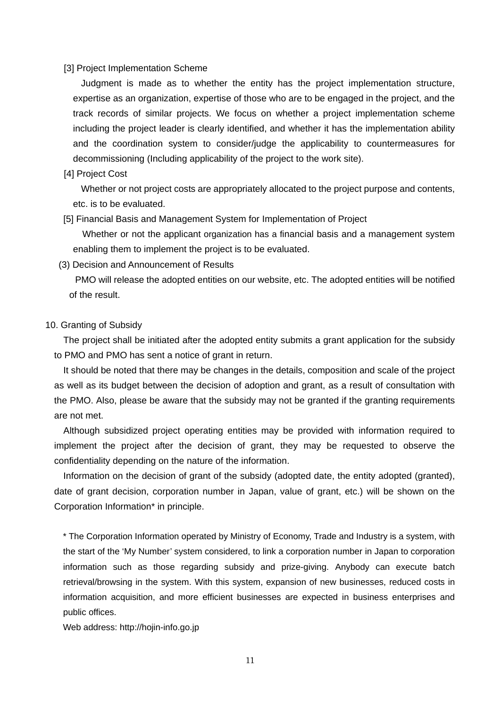#### [3] Project Implementation Scheme

Judgment is made as to whether the entity has the project implementation structure, expertise as an organization, expertise of those who are to be engaged in the project, and the track records of similar projects. We focus on whether a project implementation scheme including the project leader is clearly identified, and whether it has the implementation ability and the coordination system to consider/judge the applicability to countermeasures for decommissioning (Including applicability of the project to the work site).

[4] Project Cost

Whether or not project costs are appropriately allocated to the project purpose and contents, etc. is to be evaluated.

[5] Financial Basis and Management System for Implementation of Project

 Whether or not the applicant organization has a financial basis and a management system enabling them to implement the project is to be evaluated.

(3) Decision and Announcement of Results

PMO will release the adopted entities on our website, etc. The adopted entities will be notified of the result.

#### 10. Granting of Subsidy

The project shall be initiated after the adopted entity submits a grant application for the subsidy to PMO and PMO has sent a notice of grant in return.

It should be noted that there may be changes in the details, composition and scale of the project as well as its budget between the decision of adoption and grant, as a result of consultation with the PMO. Also, please be aware that the subsidy may not be granted if the granting requirements are not met.

Although subsidized project operating entities may be provided with information required to implement the project after the decision of grant, they may be requested to observe the confidentiality depending on the nature of the information.

Information on the decision of grant of the subsidy (adopted date, the entity adopted (granted), date of grant decision, corporation number in Japan, value of grant, etc.) will be shown on the Corporation Information\* in principle.

\* The Corporation Information operated by Ministry of Economy, Trade and Industry is a system, with the start of the 'My Number' system considered, to link a corporation number in Japan to corporation information such as those regarding subsidy and prize-giving. Anybody can execute batch retrieval/browsing in the system. With this system, expansion of new businesses, reduced costs in information acquisition, and more efficient businesses are expected in business enterprises and public offices.

Web address: http://hojin-info.go.jp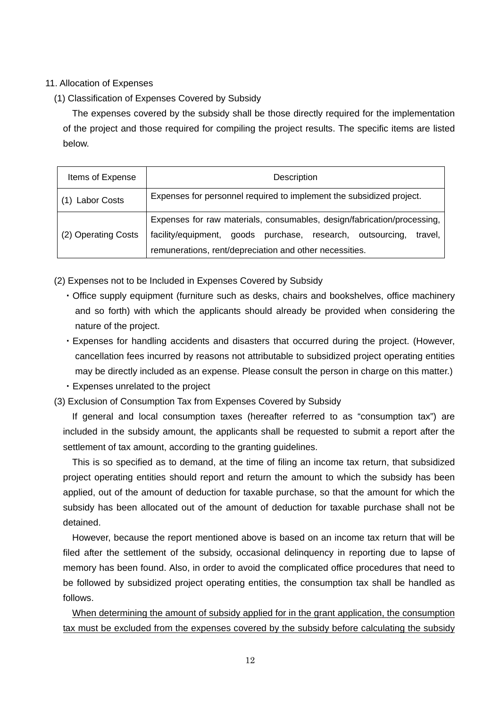# 11. Allocation of Expenses

# (1) Classification of Expenses Covered by Subsidy

The expenses covered by the subsidy shall be those directly required for the implementation of the project and those required for compiling the project results. The specific items are listed below.

| Items of Expense    | Description                                                                                                                                                                                                 |  |  |  |  |  |
|---------------------|-------------------------------------------------------------------------------------------------------------------------------------------------------------------------------------------------------------|--|--|--|--|--|
| <b>Labor Costs</b>  | Expenses for personnel required to implement the subsidized project.                                                                                                                                        |  |  |  |  |  |
| (2) Operating Costs | Expenses for raw materials, consumables, design/fabrication/processing,<br>facility/equipment, goods purchase, research, outsourcing,<br>travel.<br>remunerations, rent/depreciation and other necessities. |  |  |  |  |  |

- (2) Expenses not to be Included in Expenses Covered by Subsidy
	- ・Office supply equipment (furniture such as desks, chairs and bookshelves, office machinery and so forth) with which the applicants should already be provided when considering the nature of the project.
	- ・Expenses for handling accidents and disasters that occurred during the project. (However, cancellation fees incurred by reasons not attributable to subsidized project operating entities may be directly included as an expense. Please consult the person in charge on this matter.)
	- ・Expenses unrelated to the project
- (3) Exclusion of Consumption Tax from Expenses Covered by Subsidy

If general and local consumption taxes (hereafter referred to as "consumption tax") are included in the subsidy amount, the applicants shall be requested to submit a report after the settlement of tax amount, according to the granting guidelines.

This is so specified as to demand, at the time of filing an income tax return, that subsidized project operating entities should report and return the amount to which the subsidy has been applied, out of the amount of deduction for taxable purchase, so that the amount for which the subsidy has been allocated out of the amount of deduction for taxable purchase shall not be detained.

However, because the report mentioned above is based on an income tax return that will be filed after the settlement of the subsidy, occasional delinquency in reporting due to lapse of memory has been found. Also, in order to avoid the complicated office procedures that need to be followed by subsidized project operating entities, the consumption tax shall be handled as follows.

When determining the amount of subsidy applied for in the grant application, the consumption tax must be excluded from the expenses covered by the subsidy before calculating the subsidy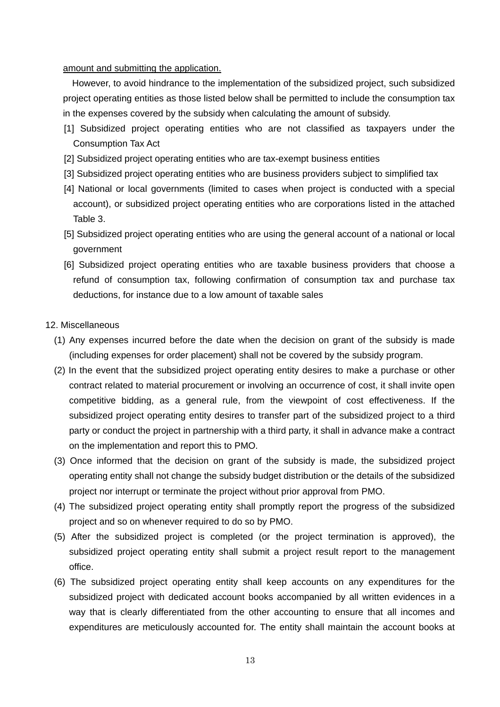amount and submitting the application.

However, to avoid hindrance to the implementation of the subsidized project, such subsidized project operating entities as those listed below shall be permitted to include the consumption tax in the expenses covered by the subsidy when calculating the amount of subsidy.

- [1] Subsidized project operating entities who are not classified as taxpayers under the Consumption Tax Act
- [2] Subsidized project operating entities who are tax-exempt business entities
- [3] Subsidized project operating entities who are business providers subject to simplified tax
- [4] National or local governments (limited to cases when project is conducted with a special account), or subsidized project operating entities who are corporations listed in the attached Table 3.
- [5] Subsidized project operating entities who are using the general account of a national or local government
- [6] Subsidized project operating entities who are taxable business providers that choose a refund of consumption tax, following confirmation of consumption tax and purchase tax deductions, for instance due to a low amount of taxable sales
- 12. Miscellaneous
	- (1) Any expenses incurred before the date when the decision on grant of the subsidy is made (including expenses for order placement) shall not be covered by the subsidy program.
	- (2) In the event that the subsidized project operating entity desires to make a purchase or other contract related to material procurement or involving an occurrence of cost, it shall invite open competitive bidding, as a general rule, from the viewpoint of cost effectiveness. If the subsidized project operating entity desires to transfer part of the subsidized project to a third party or conduct the project in partnership with a third party, it shall in advance make a contract on the implementation and report this to PMO.
	- (3) Once informed that the decision on grant of the subsidy is made, the subsidized project operating entity shall not change the subsidy budget distribution or the details of the subsidized project nor interrupt or terminate the project without prior approval from PMO.
	- (4) The subsidized project operating entity shall promptly report the progress of the subsidized project and so on whenever required to do so by PMO.
	- (5) After the subsidized project is completed (or the project termination is approved), the subsidized project operating entity shall submit a project result report to the management office.
	- (6) The subsidized project operating entity shall keep accounts on any expenditures for the subsidized project with dedicated account books accompanied by all written evidences in a way that is clearly differentiated from the other accounting to ensure that all incomes and expenditures are meticulously accounted for. The entity shall maintain the account books at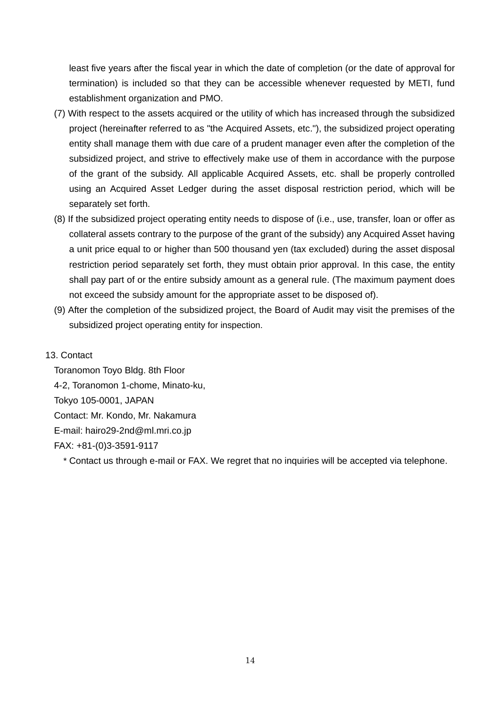least five years after the fiscal year in which the date of completion (or the date of approval for termination) is included so that they can be accessible whenever requested by METI, fund establishment organization and PMO.

- (7) With respect to the assets acquired or the utility of which has increased through the subsidized project (hereinafter referred to as "the Acquired Assets, etc."), the subsidized project operating entity shall manage them with due care of a prudent manager even after the completion of the subsidized project, and strive to effectively make use of them in accordance with the purpose of the grant of the subsidy. All applicable Acquired Assets, etc. shall be properly controlled using an Acquired Asset Ledger during the asset disposal restriction period, which will be separately set forth.
- (8) If the subsidized project operating entity needs to dispose of (i.e., use, transfer, loan or offer as collateral assets contrary to the purpose of the grant of the subsidy) any Acquired Asset having a unit price equal to or higher than 500 thousand yen (tax excluded) during the asset disposal restriction period separately set forth, they must obtain prior approval. In this case, the entity shall pay part of or the entire subsidy amount as a general rule. (The maximum payment does not exceed the subsidy amount for the appropriate asset to be disposed of).
- (9) After the completion of the subsidized project, the Board of Audit may visit the premises of the subsidized project operating entity for inspection.
- 13. Contact

Toranomon Toyo Bldg. 8th Floor 4-2, Toranomon 1-chome, Minato-ku, Tokyo 105-0001, JAPAN Contact: Mr. Kondo, Mr. Nakamura E-mail: hairo29-2nd@ml.mri.co.jp FAX: +81-(0)3-3591-9117

\* Contact us through e-mail or FAX. We regret that no inquiries will be accepted via telephone.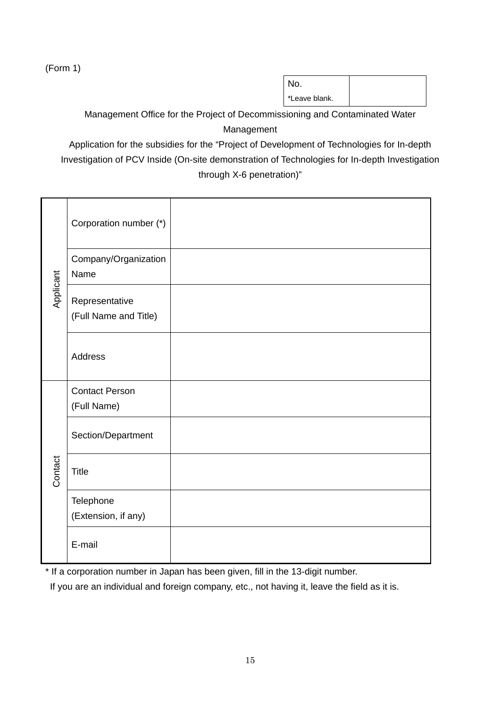(Form 1)

No. \*Leave blank.

Management Office for the Project of Decommissioning and Contaminated Water Management

Application for the subsidies for the "Project of Development of Technologies for In-depth Investigation of PCV Inside (On-site demonstration of Technologies for In-depth Investigation through X-6 penetration)"

|           | Corporation number (*)                  |  |
|-----------|-----------------------------------------|--|
|           | Company/Organization<br>Name            |  |
| Applicant | Representative<br>(Full Name and Title) |  |
|           | Address                                 |  |
|           | <b>Contact Person</b><br>(Full Name)    |  |
| Contact   | Section/Department                      |  |
|           | <b>Title</b>                            |  |
|           | Telephone<br>(Extension, if any)        |  |
|           | E-mail                                  |  |

\* If a corporation number in Japan has been given, fill in the 13-digit number.

If you are an individual and foreign company, etc., not having it, leave the field as it is.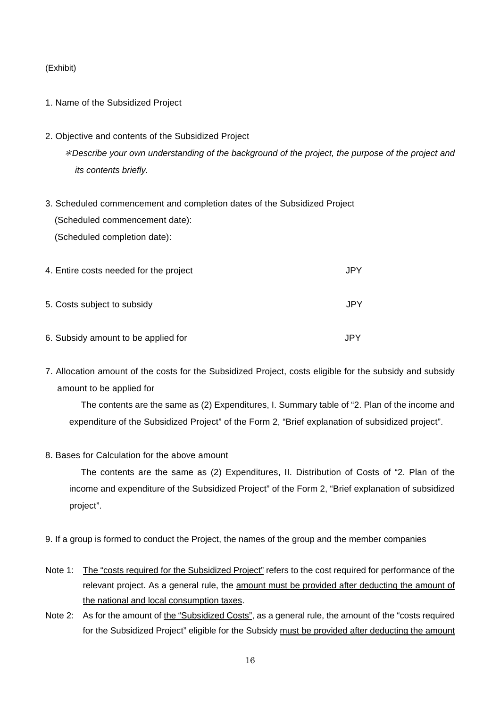#### (Exhibit)

### 1. Name of the Subsidized Project

- 2. Objective and contents of the Subsidized Project \*Describe your own understanding of the background of the project, the purpose of the project and its contents briefly.
- 3. Scheduled commencement and completion dates of the Subsidized Project (Scheduled commencement date): (Scheduled completion date):

| 4. Entire costs needed for the project | JPY  |
|----------------------------------------|------|
| 5. Costs subject to subsidy            | JPY  |
| 6. Subsidy amount to be applied for    | .IPY |

7. Allocation amount of the costs for the Subsidized Project, costs eligible for the subsidy and subsidy amount to be applied for

The contents are the same as (2) Expenditures, I. Summary table of "2. Plan of the income and expenditure of the Subsidized Project" of the Form 2, "Brief explanation of subsidized project".

8. Bases for Calculation for the above amount

The contents are the same as (2) Expenditures, II. Distribution of Costs of "2. Plan of the income and expenditure of the Subsidized Project" of the Form 2, "Brief explanation of subsidized project".

- 9. If a group is formed to conduct the Project, the names of the group and the member companies
- Note 1: The "costs required for the Subsidized Project" refers to the cost required for performance of the relevant project. As a general rule, the amount must be provided after deducting the amount of the national and local consumption taxes.
- Note 2: As for the amount of the "Subsidized Costs", as a general rule, the amount of the "costs required for the Subsidized Project" eligible for the Subsidy must be provided after deducting the amount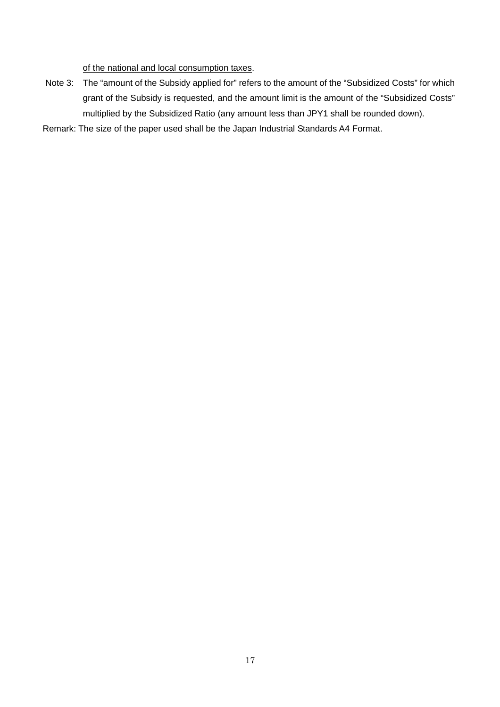of the national and local consumption taxes.

- Note 3: The "amount of the Subsidy applied for" refers to the amount of the "Subsidized Costs" for which grant of the Subsidy is requested, and the amount limit is the amount of the "Subsidized Costs" multiplied by the Subsidized Ratio (any amount less than JPY1 shall be rounded down).
- Remark: The size of the paper used shall be the Japan Industrial Standards A4 Format.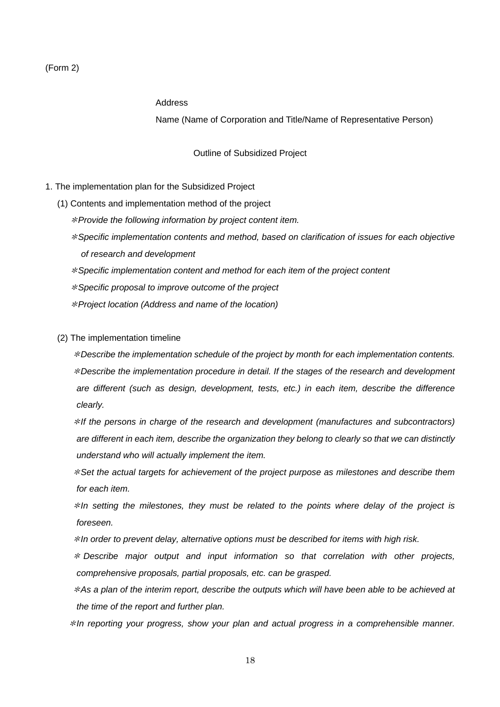#### Address

Name (Name of Corporation and Title/Name of Representative Person)

Outline of Subsidized Project

#### 1. The implementation plan for the Subsidized Project

- (1) Contents and implementation method of the project
	- $*$  Provide the following information by project content item.
	- \*Specific implementation contents and method, based on clarification of issues for each objective of research and development
	- \*Specific implementation content and method for each item of the project content
	- \*Specific proposal to improve outcome of the project
	- \*Project location (Address and name of the location)
- (2) The implementation timeline

 \*Describe the implementation schedule of the project by month for each implementation contents. \*Describe the implementation procedure in detail. If the stages of the research and development are different (such as design, development, tests, etc.) in each item, describe the difference clearly.

 $*$ If the persons in charge of the research and development (manufactures and subcontractors) are different in each item, describe the organization they belong to clearly so that we can distinctly understand who will actually implement the item.

 $*$  Set the actual targets for achievement of the project purpose as milestones and describe them for each item.

 $*$ In setting the milestones, they must be related to the points where delay of the project is foreseen.

\*In order to prevent delay, alternative options must be described for items with high risk.

 $*$  Describe major output and input information so that correlation with other projects, comprehensive proposals, partial proposals, etc. can be grasped.

 $*$ As a plan of the interim report, describe the outputs which will have been able to be achieved at the time of the report and further plan.

\*In reporting your progress, show your plan and actual progress in a comprehensible manner.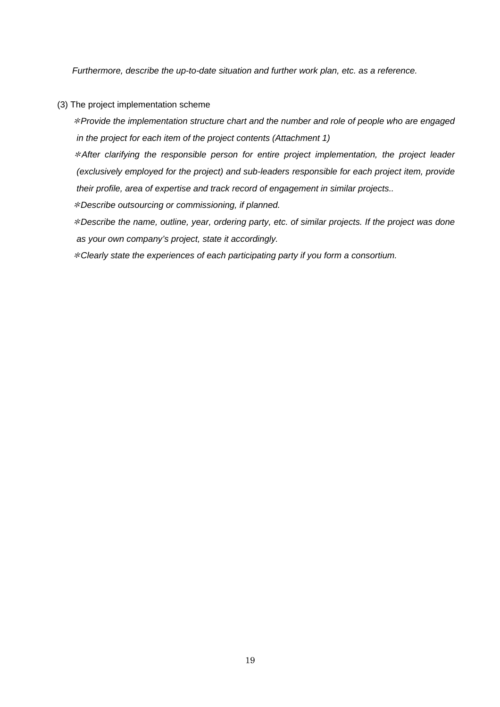Furthermore, describe the up-to-date situation and further work plan, etc. as a reference.

- (3) The project implementation scheme
	- \*Provide the implementation structure chart and the number and role of people who are engaged in the project for each item of the project contents (Attachment 1)

 $*$ After clarifying the responsible person for entire project implementation, the project leader (exclusively employed for the project) and sub-leaders responsible for each project item, provide their profile, area of expertise and track record of engagement in similar projects..

\*Describe outsourcing or commissioning, if planned.

 \*Describe the name, outline, year, ordering party, etc. of similar projects. If the project was done as your own company's project, state it accordingly.

\*Clearly state the experiences of each participating party if you form a consortium.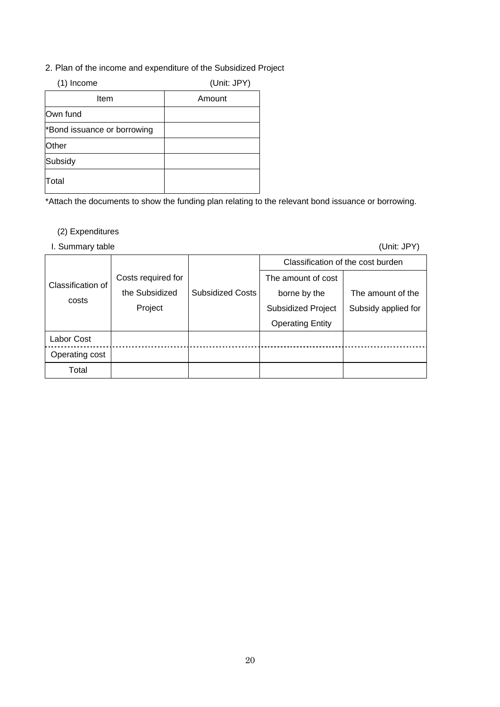2. Plan of the income and expenditure of the Subsidized Project

| (1)<br>Income               | (Unit: JPY) |
|-----------------------------|-------------|
| Item                        | Amount      |
| Own fund                    |             |
| *Bond issuance or borrowing |             |
| Other                       |             |
| Subsidy                     |             |
| Total                       |             |

\*Attach the documents to show the funding plan relating to the relevant bond issuance or borrowing.

# (2) Expenditures

I. Summary table (Unit: JPY)

|                   |                    |                         | Classification of the cost burden |                     |  |
|-------------------|--------------------|-------------------------|-----------------------------------|---------------------|--|
| Classification of | Costs required for |                         | The amount of cost                |                     |  |
|                   | the Subsidized     | <b>Subsidized Costs</b> | borne by the                      | The amount of the   |  |
| costs             | Project            |                         | <b>Subsidized Project</b>         | Subsidy applied for |  |
|                   |                    |                         | <b>Operating Entity</b>           |                     |  |
| Labor Cost        |                    |                         |                                   |                     |  |
| Operating cost    |                    |                         |                                   |                     |  |
| Total             |                    |                         |                                   |                     |  |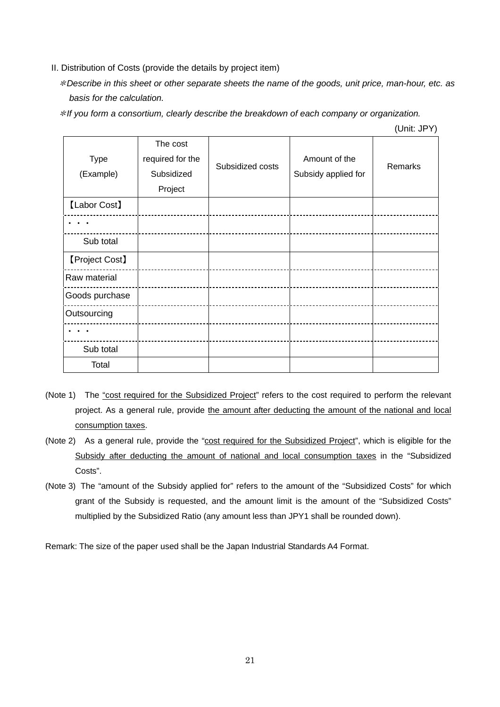- II. Distribution of Costs (provide the details by project item)
	- \*Describe in this sheet or other separate sheets the name of the goods, unit price, man-hour, etc. as basis for the calculation.

\*If you form a consortium, clearly describe the breakdown of each company or organization.

| Type<br>(Example) | The cost<br>required for the<br>Subsidized | Subsidized costs | Amount of the<br>Subsidy applied for | <b>Remarks</b> |
|-------------------|--------------------------------------------|------------------|--------------------------------------|----------------|
|                   | Project                                    |                  |                                      |                |
| [Labor Cost]      |                                            |                  |                                      |                |
|                   |                                            |                  |                                      |                |
| Sub total         |                                            |                  |                                      |                |
| [Project Cost]    |                                            |                  |                                      |                |
| Raw material      |                                            |                  |                                      |                |
| Goods purchase    |                                            |                  |                                      |                |
| Outsourcing       |                                            |                  |                                      |                |
|                   |                                            |                  |                                      |                |
| Sub total         |                                            |                  |                                      |                |
| Total             |                                            |                  |                                      |                |

(Unit: JPY)

- (Note 1) The "cost required for the Subsidized Project" refers to the cost required to perform the relevant project. As a general rule, provide the amount after deducting the amount of the national and local consumption taxes.
- (Note 2) As a general rule, provide the "cost required for the Subsidized Project", which is eligible for the Subsidy after deducting the amount of national and local consumption taxes in the "Subsidized Costs".
- (Note 3) The "amount of the Subsidy applied for" refers to the amount of the "Subsidized Costs" for which grant of the Subsidy is requested, and the amount limit is the amount of the "Subsidized Costs" multiplied by the Subsidized Ratio (any amount less than JPY1 shall be rounded down).

Remark: The size of the paper used shall be the Japan Industrial Standards A4 Format.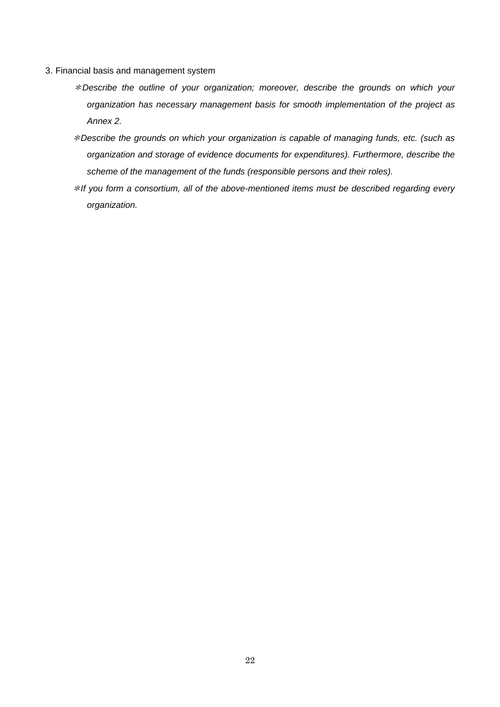- 3. Financial basis and management system
	- \*Describe the outline of your organization; moreover, describe the grounds on which your organization has necessary management basis for smooth implementation of the project as Annex 2.
	- \*Describe the grounds on which your organization is capable of managing funds, etc. (such as organization and storage of evidence documents for expenditures). Furthermore, describe the scheme of the management of the funds (responsible persons and their roles).
	- $*$ If you form a consortium, all of the above-mentioned items must be described regarding every organization.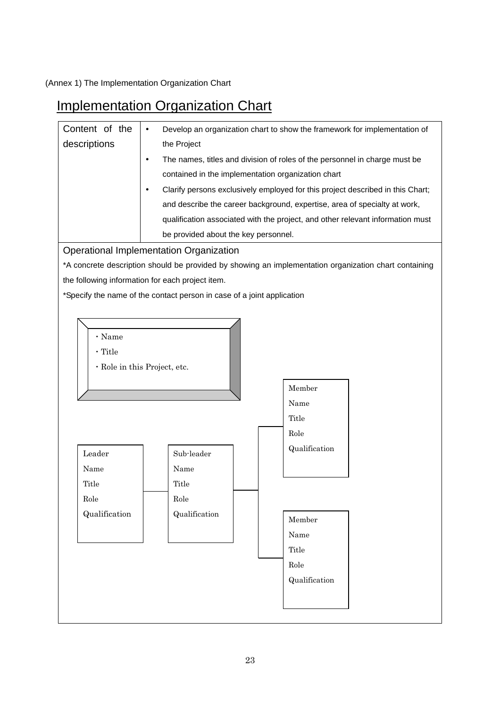(Annex 1) The Implementation Organization Chart

# Implementation Organization Chart

| Content of the | Develop an organization chart to show the framework for implementation of                   |                                                                                                       |  |  |  |  |  |
|----------------|---------------------------------------------------------------------------------------------|-------------------------------------------------------------------------------------------------------|--|--|--|--|--|
| descriptions   | the Project                                                                                 |                                                                                                       |  |  |  |  |  |
|                | The names, titles and division of roles of the personnel in charge must be<br>$\bullet$     |                                                                                                       |  |  |  |  |  |
|                | contained in the implementation organization chart                                          |                                                                                                       |  |  |  |  |  |
|                | Clarify persons exclusively employed for this project described in this Chart;<br>$\bullet$ |                                                                                                       |  |  |  |  |  |
|                | and describe the career background, expertise, area of specialty at work,                   |                                                                                                       |  |  |  |  |  |
|                | qualification associated with the project, and other relevant information must              |                                                                                                       |  |  |  |  |  |
|                | be provided about the key personnel.                                                        |                                                                                                       |  |  |  |  |  |
|                | <b>Operational Implementation Organization</b>                                              |                                                                                                       |  |  |  |  |  |
|                |                                                                                             | *A concrete description should be provided by showing an implementation organization chart containing |  |  |  |  |  |
|                | the following information for each project item.                                            |                                                                                                       |  |  |  |  |  |
|                | *Specify the name of the contact person in case of a joint application                      |                                                                                                       |  |  |  |  |  |
|                |                                                                                             |                                                                                                       |  |  |  |  |  |
|                |                                                                                             |                                                                                                       |  |  |  |  |  |
| · Name         |                                                                                             |                                                                                                       |  |  |  |  |  |
| · Title        |                                                                                             |                                                                                                       |  |  |  |  |  |
|                | · Role in this Project, etc.                                                                |                                                                                                       |  |  |  |  |  |
|                |                                                                                             | Member                                                                                                |  |  |  |  |  |
|                |                                                                                             | Name                                                                                                  |  |  |  |  |  |
|                |                                                                                             | Title                                                                                                 |  |  |  |  |  |
|                |                                                                                             | Role                                                                                                  |  |  |  |  |  |
| Leader         | Sub-leader                                                                                  | Qualification                                                                                         |  |  |  |  |  |
| Name           | Name                                                                                        |                                                                                                       |  |  |  |  |  |
| Title          | <b>Title</b>                                                                                |                                                                                                       |  |  |  |  |  |
| Role           | Role                                                                                        |                                                                                                       |  |  |  |  |  |
| Qualification  | Qualification                                                                               |                                                                                                       |  |  |  |  |  |
|                |                                                                                             | Member                                                                                                |  |  |  |  |  |
|                |                                                                                             | Name                                                                                                  |  |  |  |  |  |
|                |                                                                                             | Title                                                                                                 |  |  |  |  |  |
|                |                                                                                             | Role                                                                                                  |  |  |  |  |  |
|                |                                                                                             | Qualification                                                                                         |  |  |  |  |  |
|                |                                                                                             |                                                                                                       |  |  |  |  |  |
|                |                                                                                             |                                                                                                       |  |  |  |  |  |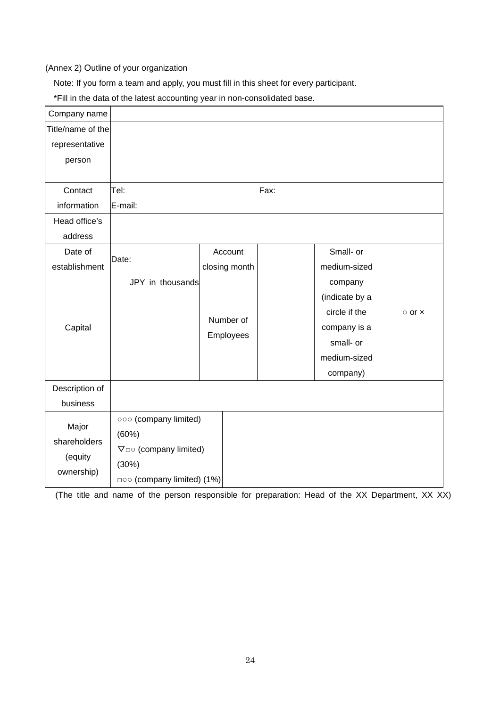#### (Annex 2) Outline of your organization

Note: If you form a team and apply, you must fill in this sheet for every participant.

\*Fill in the data of the latest accounting year in non-consolidated base.

| Company name      |                                   |                        |               |               |                     |  |
|-------------------|-----------------------------------|------------------------|---------------|---------------|---------------------|--|
| Title/name of the |                                   |                        |               |               |                     |  |
| representative    |                                   |                        |               |               |                     |  |
| person            |                                   |                        |               |               |                     |  |
|                   |                                   |                        |               |               |                     |  |
| Contact           | Tel:                              |                        |               | Fax:          |                     |  |
| information       | E-mail:                           |                        |               |               |                     |  |
| Head office's     |                                   |                        |               |               |                     |  |
| address           |                                   |                        |               |               |                     |  |
| Date of           | Date:                             |                        | Account       |               | Small- or           |  |
| establishment     |                                   |                        | closing month |               | medium-sized        |  |
|                   | JPY in thousands                  |                        |               |               | company             |  |
|                   |                                   |                        |               |               | (indicate by a      |  |
|                   |                                   | Number of<br>Employees |               | circle if the | $\circ$ or $\times$ |  |
| Capital           |                                   |                        |               |               | company is a        |  |
|                   |                                   |                        |               |               | small- or           |  |
|                   |                                   |                        |               |               | medium-sized        |  |
|                   |                                   |                        |               |               | company)            |  |
| Description of    |                                   |                        |               |               |                     |  |
| business          |                                   |                        |               |               |                     |  |
| Major             | 000 (company limited)             |                        |               |               |                     |  |
| shareholders      | (60%)                             |                        |               |               |                     |  |
|                   | $\nabla$ $\Box$ (company limited) |                        |               |               |                     |  |
| (equity           | (30%)                             |                        |               |               |                     |  |
| ownership)        | goo (company limited) (1%)        |                        |               |               |                     |  |

(The title and name of the person responsible for preparation: Head of the XX Department, XX XX)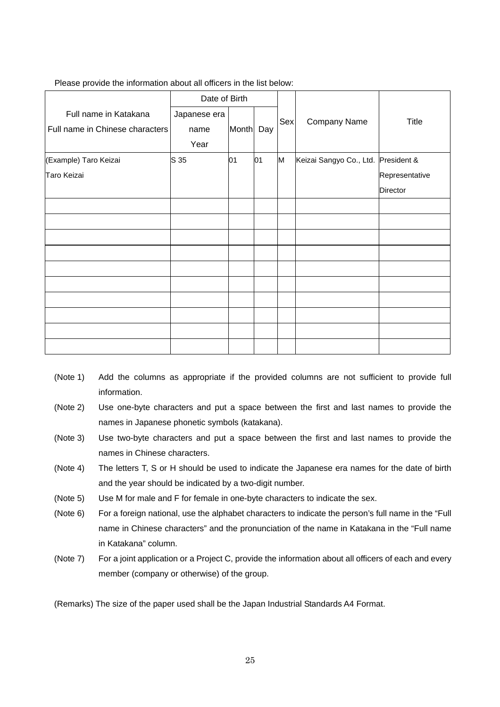| Date of Birth                   |              |              |     |     |                                     |                |
|---------------------------------|--------------|--------------|-----|-----|-------------------------------------|----------------|
| Full name in Katakana           | Japanese era |              |     | Sex | Company Name                        | <b>Title</b>   |
| Full name in Chinese characters | name         | <b>Month</b> | Day |     |                                     |                |
|                                 | Year         |              |     |     |                                     |                |
| (Example) Taro Keizai           | S 35         | 01           | 01  | M   | Keizai Sangyo Co., Ltd. President & |                |
| Taro Keizai                     |              |              |     |     |                                     | Representative |
|                                 |              |              |     |     |                                     | Director       |
|                                 |              |              |     |     |                                     |                |
|                                 |              |              |     |     |                                     |                |
|                                 |              |              |     |     |                                     |                |
|                                 |              |              |     |     |                                     |                |
|                                 |              |              |     |     |                                     |                |
|                                 |              |              |     |     |                                     |                |
|                                 |              |              |     |     |                                     |                |
|                                 |              |              |     |     |                                     |                |
|                                 |              |              |     |     |                                     |                |
|                                 |              |              |     |     |                                     |                |

#### Please provide the information about all officers in the list below:

- (Note 1) Add the columns as appropriate if the provided columns are not sufficient to provide full information.
- (Note 2) Use one-byte characters and put a space between the first and last names to provide the names in Japanese phonetic symbols (katakana).
- (Note 3) Use two-byte characters and put a space between the first and last names to provide the names in Chinese characters.
- (Note 4) The letters T, S or H should be used to indicate the Japanese era names for the date of birth and the year should be indicated by a two-digit number.
- (Note 5) Use M for male and F for female in one-byte characters to indicate the sex.
- (Note 6) For a foreign national, use the alphabet characters to indicate the person's full name in the "Full name in Chinese characters" and the pronunciation of the name in Katakana in the "Full name in Katakana" column.
- (Note 7) For a joint application or a Project C, provide the information about all officers of each and every member (company or otherwise) of the group.

(Remarks) The size of the paper used shall be the Japan Industrial Standards A4 Format.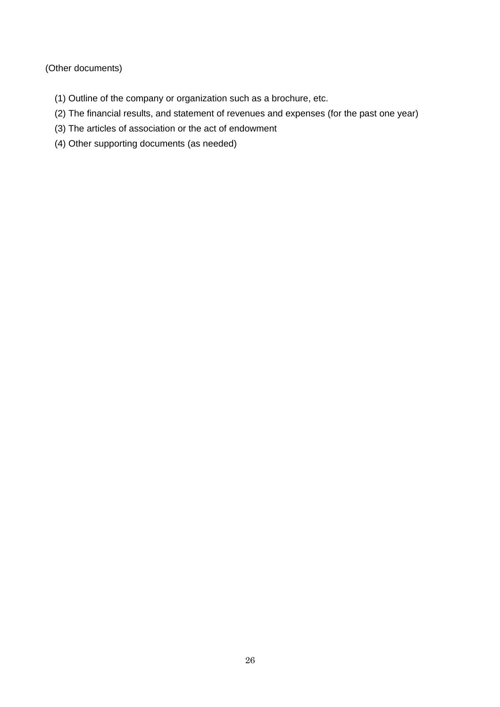(Other documents)

- (1) Outline of the company or organization such as a brochure, etc.
- (2) The financial results, and statement of revenues and expenses (for the past one year)
- (3) The articles of association or the act of endowment
- (4) Other supporting documents (as needed)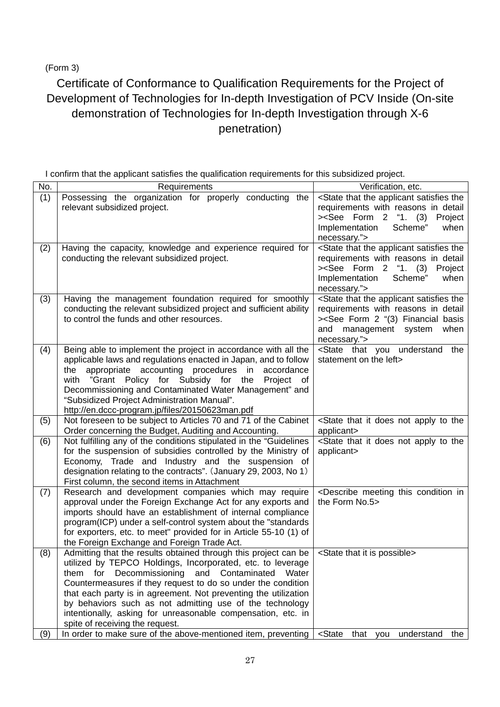(Form 3)

# Certificate of Conformance to Qualification Requirements for the Project of Development of Technologies for In-depth Investigation of PCV Inside (On-site demonstration of Technologies for In-depth Investigation through X-6 penetration)

|  | I confirm that the applicant satisfies the qualification requirements for this subsidized project. |
|--|----------------------------------------------------------------------------------------------------|
|  |                                                                                                    |
|  |                                                                                                    |

|     | T 11                                                                                                                                                                                                                                                                                                                                                                                                                                                                                     |                                                                                                                                                                                                                               |
|-----|------------------------------------------------------------------------------------------------------------------------------------------------------------------------------------------------------------------------------------------------------------------------------------------------------------------------------------------------------------------------------------------------------------------------------------------------------------------------------------------|-------------------------------------------------------------------------------------------------------------------------------------------------------------------------------------------------------------------------------|
| No. | Requirements                                                                                                                                                                                                                                                                                                                                                                                                                                                                             | Verification, etc.                                                                                                                                                                                                            |
| (1) | Possessing the organization for properly conducting the<br>relevant subsidized project.                                                                                                                                                                                                                                                                                                                                                                                                  | <state applicant="" satisfies="" that="" the="" the<br="">requirements with reasons in detail<br/>&gt;<see "1.="" (3)<br="" 2="" form="">Project<br/>Implementation<br/>Scheme"<br/>when<br/>necessary."&gt;</see></state>    |
| (2) | Having the capacity, knowledge and experience required for<br>conducting the relevant subsidized project.                                                                                                                                                                                                                                                                                                                                                                                | <state applicant="" satisfies="" that="" the="" the<br="">requirements with reasons in detail<br/>&gt;<see "1.="" (3)<br="" 2="" form="">Project<br/>Implementation<br/>Scheme"<br/>when<br/>necessary."&gt;</see></state>    |
| (3) | Having the management foundation required for smoothly<br>conducting the relevant subsidized project and sufficient ability<br>to control the funds and other resources.                                                                                                                                                                                                                                                                                                                 | <state applicant="" satisfies="" that="" the="" the<br="">requirements with reasons in detail<br/>&gt;<see "(3)="" 2="" basis<br="" financial="" form="">when<br/>and<br/>management system<br/>necessary."&gt;</see></state> |
| (4) | Being able to implement the project in accordance with all the<br>applicable laws and regulations enacted in Japan, and to follow<br>the appropriate accounting procedures in<br>accordance<br>with "Grant Policy for Subsidy for the<br>Project of<br>Decommissioning and Contaminated Water Management" and<br>"Subsidized Project Administration Manual".<br>http://en.dccc-program.jp/files/20150623man.pdf                                                                          | <state that="" the<br="" understand="" you="">statement on the left&gt;</state>                                                                                                                                               |
| (5) | Not foreseen to be subject to Articles 70 and 71 of the Cabinet<br>Order concerning the Budget, Auditing and Accounting.                                                                                                                                                                                                                                                                                                                                                                 | <state apply="" does="" it="" not="" that="" the<br="" to="">applicant&gt;</state>                                                                                                                                            |
| (6) | Not fulfilling any of the conditions stipulated in the "Guidelines"<br>for the suspension of subsidies controlled by the Ministry of<br>Economy, Trade and Industry and the suspension of<br>designation relating to the contracts". (January 29, 2003, No 1)<br>First column, the second items in Attachment                                                                                                                                                                            | <state apply="" does="" it="" not="" that="" the<br="" to="">applicant&gt;</state>                                                                                                                                            |
| (7) | Research and development companies which may require<br>approval under the Foreign Exchange Act for any exports and<br>imports should have an establishment of internal compliance<br>program(ICP) under a self-control system about the "standards<br>for exporters, etc. to meet" provided for in Article 55-10 (1) of<br>the Foreign Exchange and Foreign Trade Act.                                                                                                                  | <describe condition="" in<br="" meeting="" this="">the Form No.5&gt;</describe>                                                                                                                                               |
| (8) | Admitting that the results obtained through this project can be<br>utilized by TEPCO Holdings, Incorporated, etc. to leverage<br>for Decommissioning and Contaminated<br>them<br>Water<br>Countermeasures if they request to do so under the condition<br>that each party is in agreement. Not preventing the utilization<br>by behaviors such as not admitting use of the technology<br>intentionally, asking for unreasonable compensation, etc. in<br>spite of receiving the request. | <state is="" it="" possible="" that=""></state>                                                                                                                                                                               |
| (9) | In order to make sure of the above-mentioned item, preventing                                                                                                                                                                                                                                                                                                                                                                                                                            | <state that="" you<br="">understand<br/>the</state>                                                                                                                                                                           |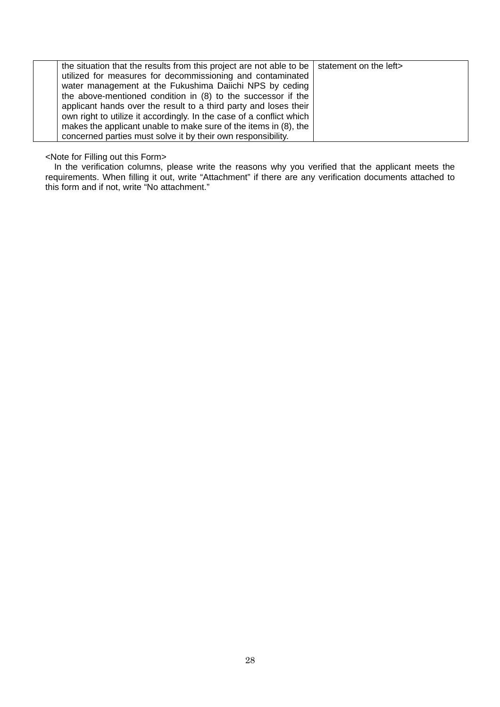| the situation that the results from this project are not able to be   statement on the left> |  |
|----------------------------------------------------------------------------------------------|--|
| utilized for measures for decommissioning and contaminated                                   |  |
| water management at the Fukushima Daiichi NPS by ceding                                      |  |
| the above-mentioned condition in (8) to the successor if the                                 |  |
| applicant hands over the result to a third party and loses their                             |  |
| own right to utilize it accordingly. In the case of a conflict which                         |  |
| makes the applicant unable to make sure of the items in (8), the                             |  |
| concerned parties must solve it by their own responsibility.                                 |  |

#### <Note for Filling out this Form>

In the verification columns, please write the reasons why you verified that the applicant meets the requirements. When filling it out, write "Attachment" if there are any verification documents attached to this form and if not, write "No attachment."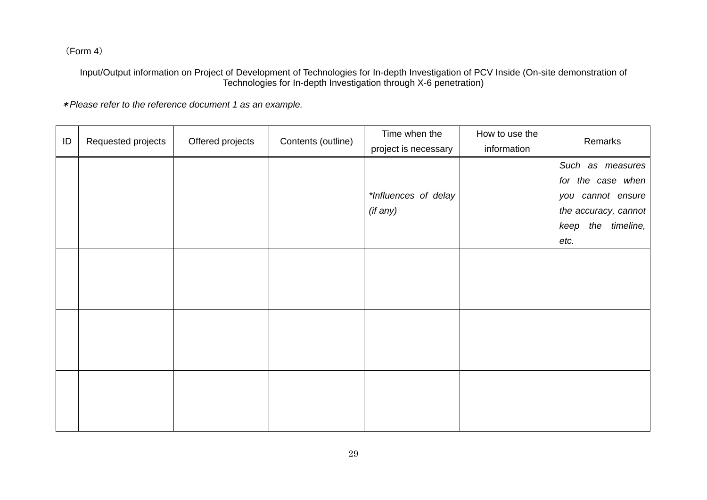(Form 4)

Input/Output information on Project of Development of Technologies for In-depth Investigation of PCV Inside (On-site demonstration of Technologies for In-depth Investigation through X-6 penetration)

\*Please refer to the reference document 1 as an example.

| ID | Requested projects | Offered projects | Contents (outline) | Time when the<br>project is necessary | How to use the<br>information | Remarks                                                                            |  |
|----|--------------------|------------------|--------------------|---------------------------------------|-------------------------------|------------------------------------------------------------------------------------|--|
|    |                    |                  |                    | *Influences of delay<br>(if any)      |                               | Such as measures<br>for the case when<br>you cannot ensure<br>the accuracy, cannot |  |
|    |                    |                  |                    |                                       |                               | the timeline,<br>keep<br>etc.                                                      |  |
|    |                    |                  |                    |                                       |                               |                                                                                    |  |
|    |                    |                  |                    |                                       |                               |                                                                                    |  |
|    |                    |                  |                    |                                       |                               |                                                                                    |  |
|    |                    |                  |                    |                                       |                               |                                                                                    |  |
|    |                    |                  |                    |                                       |                               |                                                                                    |  |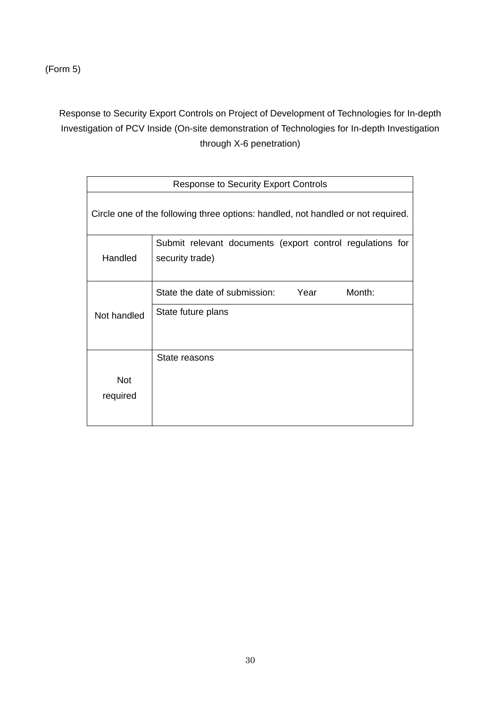(Form 5)

Response to Security Export Controls on Project of Development of Technologies for In-depth Investigation of PCV Inside (On-site demonstration of Technologies for In-depth Investigation through X-6 penetration)

| <b>Response to Security Export Controls</b>                                      |                                                                              |  |  |  |  |  |  |  |
|----------------------------------------------------------------------------------|------------------------------------------------------------------------------|--|--|--|--|--|--|--|
| Circle one of the following three options: handled, not handled or not required. |                                                                              |  |  |  |  |  |  |  |
| Handled                                                                          | Submit relevant documents (export control regulations for<br>security trade) |  |  |  |  |  |  |  |
|                                                                                  | State the date of submission:<br>Year<br>Month:                              |  |  |  |  |  |  |  |
| Not handled                                                                      | State future plans                                                           |  |  |  |  |  |  |  |
|                                                                                  | State reasons                                                                |  |  |  |  |  |  |  |
| <b>Not</b>                                                                       |                                                                              |  |  |  |  |  |  |  |
| required                                                                         |                                                                              |  |  |  |  |  |  |  |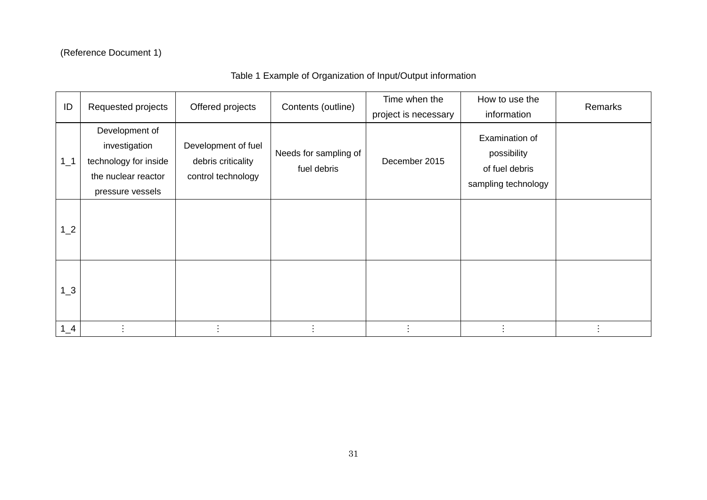# (Reference Document 1)

# Table 1 Example of Organization of Input/Output information

| ID       | Requested projects                                                                                  | Offered projects                                                | Contents (outline)                   | Time when the<br>project is necessary | How to use the<br>information                                          | Remarks |
|----------|-----------------------------------------------------------------------------------------------------|-----------------------------------------------------------------|--------------------------------------|---------------------------------------|------------------------------------------------------------------------|---------|
| $1_{-}1$ | Development of<br>investigation<br>technology for inside<br>the nuclear reactor<br>pressure vessels | Development of fuel<br>debris criticality<br>control technology | Needs for sampling of<br>fuel debris | December 2015                         | Examination of<br>possibility<br>of fuel debris<br>sampling technology |         |
| $1_{2}$  |                                                                                                     |                                                                 |                                      |                                       |                                                                        |         |
| $1_{-}3$ |                                                                                                     |                                                                 |                                      |                                       |                                                                        |         |
| $1_4$    |                                                                                                     |                                                                 |                                      |                                       |                                                                        |         |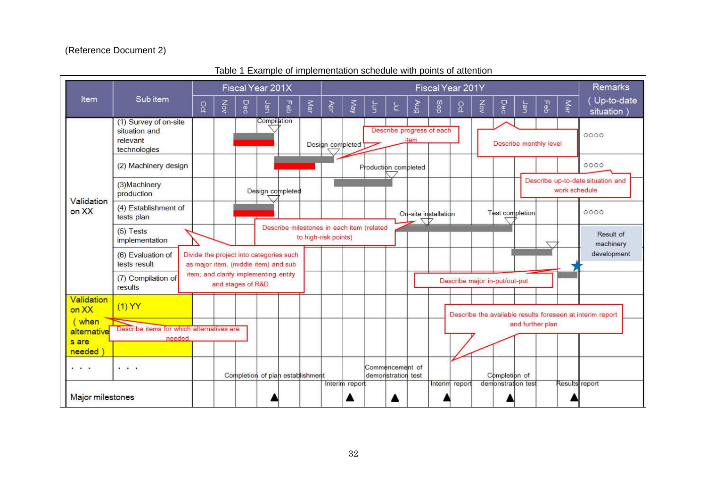# (Reference Document 2)

|                                                                                              |                                                                    | Fiscal Year 201X                                                                |     |     |             |                                           |     | Fiscal Year 201Y     |                  |   |                                       |             |                           |                               |   | Remarks                |                  |     |               |                                                           |
|----------------------------------------------------------------------------------------------|--------------------------------------------------------------------|---------------------------------------------------------------------------------|-----|-----|-------------|-------------------------------------------|-----|----------------------|------------------|---|---------------------------------------|-------------|---------------------------|-------------------------------|---|------------------------|------------------|-----|---------------|-----------------------------------------------------------|
| Item                                                                                         | Sub item                                                           | g                                                                               | χòν | Dec | Jan         | 日の                                        | Маг | ₹                    | May              | ξ | 는                                     | <b>Briv</b> | Sep                       | ဝ္ခ                           | ξ | Dec                    | Jan              | Feb | Mar           | Up-to-date<br>situation)                                  |
|                                                                                              | (1) Survey of on-site<br>situation and<br>relevant<br>technologies |                                                                                 |     |     | Compilation |                                           |     |                      | Design completed |   |                                       | item        | Describe progress of each |                               |   | Describe monthly level |                  |     |               | 0000                                                      |
|                                                                                              | (2) Machinery design                                               |                                                                                 |     |     |             |                                           |     |                      |                  |   | Production completed                  |             |                           |                               |   |                        |                  |     |               | 0000                                                      |
| Validation                                                                                   | (3) Machinery<br>production                                        |                                                                                 |     |     |             | Design completed                          |     |                      |                  |   |                                       |             |                           |                               |   |                        |                  |     | work schedule | Describe up-to-date situation and                         |
| on XX                                                                                        | (4) Establishment of<br>tests plan                                 |                                                                                 |     |     |             |                                           |     |                      |                  |   |                                       | 7 N         | On-site installation      |                               |   | Test completion        |                  |     |               | 0000                                                      |
|                                                                                              | $(5)$ Tests<br>implementation                                      |                                                                                 |     |     |             | Describe milestones in each item (related |     | to high-risk points) |                  |   |                                       |             |                           |                               |   |                        |                  |     |               | Result of<br>machinery                                    |
|                                                                                              | (6) Evaluation of<br>tests result                                  | Divide the project into categories such<br>as major item, (middle item) and sub |     |     |             |                                           |     |                      |                  |   |                                       |             |                           |                               |   |                        |                  |     |               | development                                               |
|                                                                                              | (7) Compilation of<br>results                                      | item; and clarify implementing entity<br>and stages of R&D.                     |     |     |             |                                           |     |                      |                  |   |                                       |             |                           | Describe major in-put/out-put |   |                        |                  |     |               |                                                           |
| Validation<br>on XX                                                                          | $(1)$ YY                                                           |                                                                                 |     |     |             |                                           |     |                      |                  |   |                                       |             |                           |                               |   |                        |                  |     |               | Describe the available results foreseen at interim report |
| (when<br>alternative<br>s are<br>needed                                                      | Describe items for which alternatives are<br>needed                |                                                                                 |     |     |             |                                           |     |                      |                  |   |                                       |             |                           |                               |   |                        | and further plan |     |               |                                                           |
| $\cdots$                                                                                     | $\cdot$                                                            |                                                                                 |     |     |             | Completion of plan establishment          |     |                      |                  |   | Commencement of<br>demonstration test |             |                           |                               |   | Completion of          |                  |     |               |                                                           |
| Interim report<br>demonstration test<br>Results report<br>Interim report<br>Major milestones |                                                                    |                                                                                 |     |     |             |                                           |     |                      |                  |   |                                       |             |                           |                               |   |                        |                  |     |               |                                                           |

Table 1 Example of implementation schedule with points of attention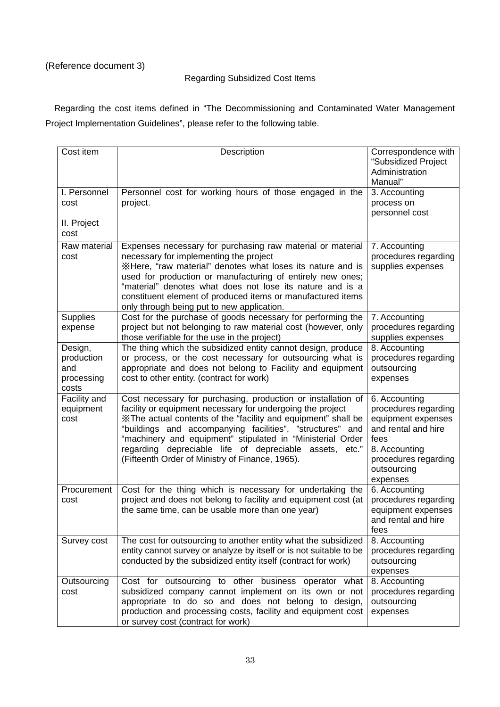# (Reference document 3)

# Regarding Subsidized Cost Items

Regarding the cost items defined in "The Decommissioning and Contaminated Water Management Project Implementation Guidelines", please refer to the following table.

| Cost item                                           | Description                                                                                                                                                                                                                                                                                                                                                                                                                           | Correspondence with<br>"Subsidized Project<br>Administration<br>Manual"                                                                                        |
|-----------------------------------------------------|---------------------------------------------------------------------------------------------------------------------------------------------------------------------------------------------------------------------------------------------------------------------------------------------------------------------------------------------------------------------------------------------------------------------------------------|----------------------------------------------------------------------------------------------------------------------------------------------------------------|
| I. Personnel<br>cost                                | Personnel cost for working hours of those engaged in the<br>project.                                                                                                                                                                                                                                                                                                                                                                  | 3. Accounting<br>process on<br>personnel cost                                                                                                                  |
| II. Project<br>cost                                 |                                                                                                                                                                                                                                                                                                                                                                                                                                       |                                                                                                                                                                |
| Raw material<br>cost                                | Expenses necessary for purchasing raw material or material<br>necessary for implementing the project<br>XHere, "raw material" denotes what loses its nature and is<br>used for production or manufacturing of entirely new ones;<br>"material" denotes what does not lose its nature and is a<br>constituent element of produced items or manufactured items<br>only through being put to new application.                            | 7. Accounting<br>procedures regarding<br>supplies expenses                                                                                                     |
| <b>Supplies</b><br>expense                          | Cost for the purchase of goods necessary for performing the<br>project but not belonging to raw material cost (however, only<br>those verifiable for the use in the project)                                                                                                                                                                                                                                                          | 7. Accounting<br>procedures regarding<br>supplies expenses                                                                                                     |
| Design,<br>production<br>and<br>processing<br>costs | The thing which the subsidized entity cannot design, produce<br>or process, or the cost necessary for outsourcing what is<br>appropriate and does not belong to Facility and equipment<br>cost to other entity. (contract for work)                                                                                                                                                                                                   | 8. Accounting<br>procedures regarding<br>outsourcing<br>expenses                                                                                               |
| Facility and<br>equipment<br>cost                   | Cost necessary for purchasing, production or installation of<br>facility or equipment necessary for undergoing the project<br>X The actual contents of the "facility and equipment" shall be<br>"buildings and accompanying facilities", "structures" and<br>"machinery and equipment" stipulated in "Ministerial Order<br>regarding depreciable life of depreciable assets, etc."<br>(Fifteenth Order of Ministry of Finance, 1965). | 6. Accounting<br>procedures regarding<br>equipment expenses<br>and rental and hire<br>fees<br>8. Accounting<br>procedures regarding<br>outsourcing<br>expenses |
| Procurement<br>cost                                 | Cost for the thing which is necessary for undertaking the<br>project and does not belong to facility and equipment cost (at<br>the same time, can be usable more than one year)                                                                                                                                                                                                                                                       | 6. Accounting<br>procedures regarding<br>equipment expenses<br>and rental and hire<br>fees                                                                     |
| Survey cost                                         | The cost for outsourcing to another entity what the subsidized<br>entity cannot survey or analyze by itself or is not suitable to be<br>conducted by the subsidized entity itself (contract for work)                                                                                                                                                                                                                                 | 8. Accounting<br>procedures regarding<br>outsourcing<br>expenses                                                                                               |
| Outsourcing<br>cost                                 | Cost for outsourcing to other business operator what<br>subsidized company cannot implement on its own or not<br>appropriate to do so and does not belong to design,<br>production and processing costs, facility and equipment cost<br>or survey cost (contract for work)                                                                                                                                                            | 8. Accounting<br>procedures regarding<br>outsourcing<br>expenses                                                                                               |